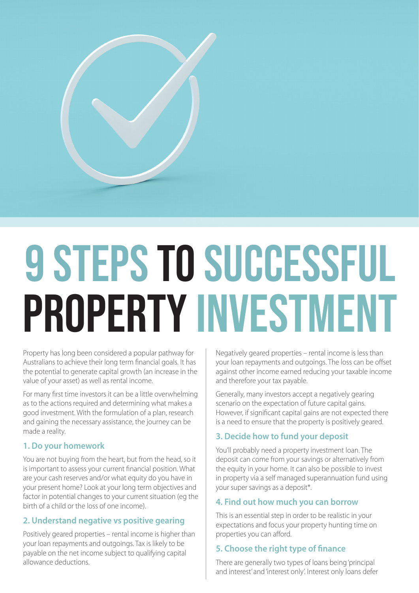

# 9 STEPS TO SUCCESSFUL Property Investment

Property has long been considered a popular pathway for Australians to achieve their long term financial goals. It has the potential to generate capital growth (an increase in the value of your asset) as well as rental income.

For many first time investors it can be a little overwhelming as to the actions required and determining what makes a good investment. With the formulation of a plan, research and gaining the necessary assistance, the journey can be made a reality.

## **1. Do your homework**

You are not buying from the heart, but from the head, so it is important to assess your current financial position. What are your cash reserves and/or what equity do you have in your present home? Look at your long term objectives and factor in potential changes to your current situation (eg the birth of a child or the loss of one income).

## **2. Understand negative vs positive gearing**

Positively geared properties – rental income is higher than your loan repayments and outgoings. Tax is likely to be payable on the net income subject to qualifying capital allowance deductions.

Negatively geared properties – rental income is less than your loan repayments and outgoings. The loss can be offset against other income earned reducing your taxable income and therefore your tax payable.

Generally, many investors accept a negatively gearing scenario on the expectation of future capital gains. However, if significant capital gains are not expected there is a need to ensure that the property is positively geared.

## **3. Decide how to fund your deposit**

You'll probably need a property investment loan. The deposit can come from your savings or alternatively from the equity in your home. It can also be possible to invest in property via a self managed superannuation fund using your super savings as a deposit\*.

## **4. Find out how much you can borrow**

This is an essential step in order to be realistic in your expectations and focus your property hunting time on properties you can afford.

# **5. Choose the right type of finance**

There are generally two types of loans being 'principal and interest' and 'interest only'. Interest only loans defer